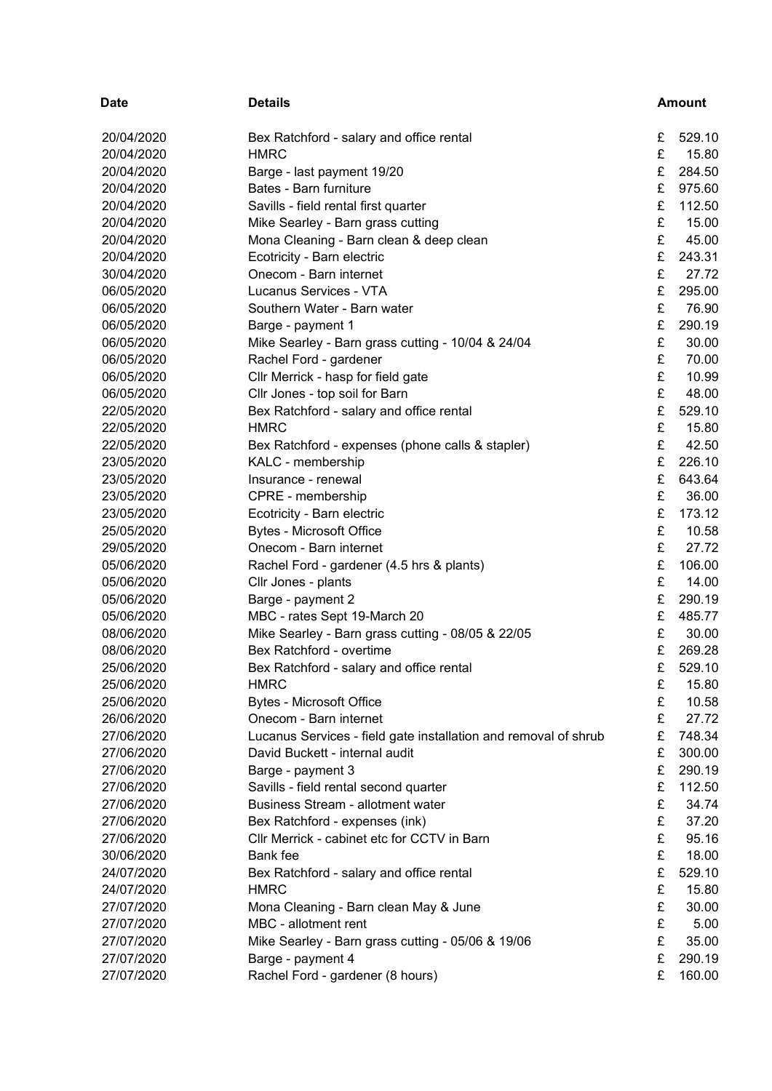| <b>Date</b> | <b>Details</b>                                                  |   | <b>Amount</b> |
|-------------|-----------------------------------------------------------------|---|---------------|
| 20/04/2020  | Bex Ratchford - salary and office rental                        | £ | 529.10        |
| 20/04/2020  | <b>HMRC</b>                                                     | £ | 15.80         |
| 20/04/2020  | Barge - last payment 19/20                                      | £ | 284.50        |
| 20/04/2020  | Bates - Barn furniture                                          | £ | 975.60        |
| 20/04/2020  | Savills - field rental first quarter                            | £ | 112.50        |
| 20/04/2020  | Mike Searley - Barn grass cutting                               | £ | 15.00         |
| 20/04/2020  | Mona Cleaning - Barn clean & deep clean                         | £ | 45.00         |
| 20/04/2020  | Ecotricity - Barn electric                                      | £ | 243.31        |
| 30/04/2020  | Onecom - Barn internet                                          | £ | 27.72         |
| 06/05/2020  | Lucanus Services - VTA                                          | £ | 295.00        |
| 06/05/2020  | Southern Water - Barn water                                     | £ | 76.90         |
| 06/05/2020  | Barge - payment 1                                               | £ | 290.19        |
| 06/05/2020  | Mike Searley - Barn grass cutting - 10/04 & 24/04               | £ | 30.00         |
| 06/05/2020  | Rachel Ford - gardener                                          | £ | 70.00         |
| 06/05/2020  | Cllr Merrick - hasp for field gate                              | £ | 10.99         |
| 06/05/2020  | Cllr Jones - top soil for Barn                                  | £ | 48.00         |
| 22/05/2020  | Bex Ratchford - salary and office rental                        | £ | 529.10        |
| 22/05/2020  | <b>HMRC</b>                                                     | £ | 15.80         |
| 22/05/2020  | Bex Ratchford - expenses (phone calls & stapler)                | £ | 42.50         |
| 23/05/2020  | KALC - membership                                               | £ | 226.10        |
| 23/05/2020  | Insurance - renewal                                             | £ | 643.64        |
| 23/05/2020  | CPRE - membership                                               | £ | 36.00         |
| 23/05/2020  | Ecotricity - Barn electric                                      | £ | 173.12        |
| 25/05/2020  | <b>Bytes - Microsoft Office</b>                                 | £ | 10.58         |
| 29/05/2020  | Onecom - Barn internet                                          | £ | 27.72         |
| 05/06/2020  | Rachel Ford - gardener (4.5 hrs & plants)                       | £ | 106.00        |
| 05/06/2020  | Cllr Jones - plants                                             | £ | 14.00         |
| 05/06/2020  | Barge - payment 2                                               | £ | 290.19        |
| 05/06/2020  | MBC - rates Sept 19-March 20                                    | £ | 485.77        |
| 08/06/2020  | Mike Searley - Barn grass cutting - 08/05 & 22/05               | £ | 30.00         |
| 08/06/2020  | Bex Ratchford - overtime                                        | £ | 269.28        |
| 25/06/2020  | Bex Ratchford - salary and office rental                        | £ | 529.10        |
| 25/06/2020  | <b>HMRC</b>                                                     | £ | 15.80         |
| 25/06/2020  | <b>Bytes - Microsoft Office</b>                                 | £ | 10.58         |
| 26/06/2020  | Onecom - Barn internet                                          | £ | 27.72         |
| 27/06/2020  | Lucanus Services - field gate installation and removal of shrub | £ | 748.34        |
| 27/06/2020  | David Buckett - internal audit                                  | £ | 300.00        |
| 27/06/2020  | Barge - payment 3                                               | £ | 290.19        |
| 27/06/2020  | Savills - field rental second quarter                           | £ | 112.50        |
| 27/06/2020  | <b>Business Stream - allotment water</b>                        | £ | 34.74         |
| 27/06/2020  | Bex Ratchford - expenses (ink)                                  | £ | 37.20         |
| 27/06/2020  | Cllr Merrick - cabinet etc for CCTV in Barn                     | £ | 95.16         |
| 30/06/2020  | Bank fee                                                        | £ | 18.00         |
| 24/07/2020  | Bex Ratchford - salary and office rental                        | £ | 529.10        |
| 24/07/2020  | <b>HMRC</b>                                                     | £ | 15.80         |
| 27/07/2020  | Mona Cleaning - Barn clean May & June                           | £ | 30.00         |
| 27/07/2020  | MBC - allotment rent                                            | £ | 5.00          |
| 27/07/2020  | Mike Searley - Barn grass cutting - 05/06 & 19/06               | £ | 35.00         |
| 27/07/2020  | Barge - payment 4                                               | £ | 290.19        |
| 27/07/2020  | Rachel Ford - gardener (8 hours)                                | £ | 160.00        |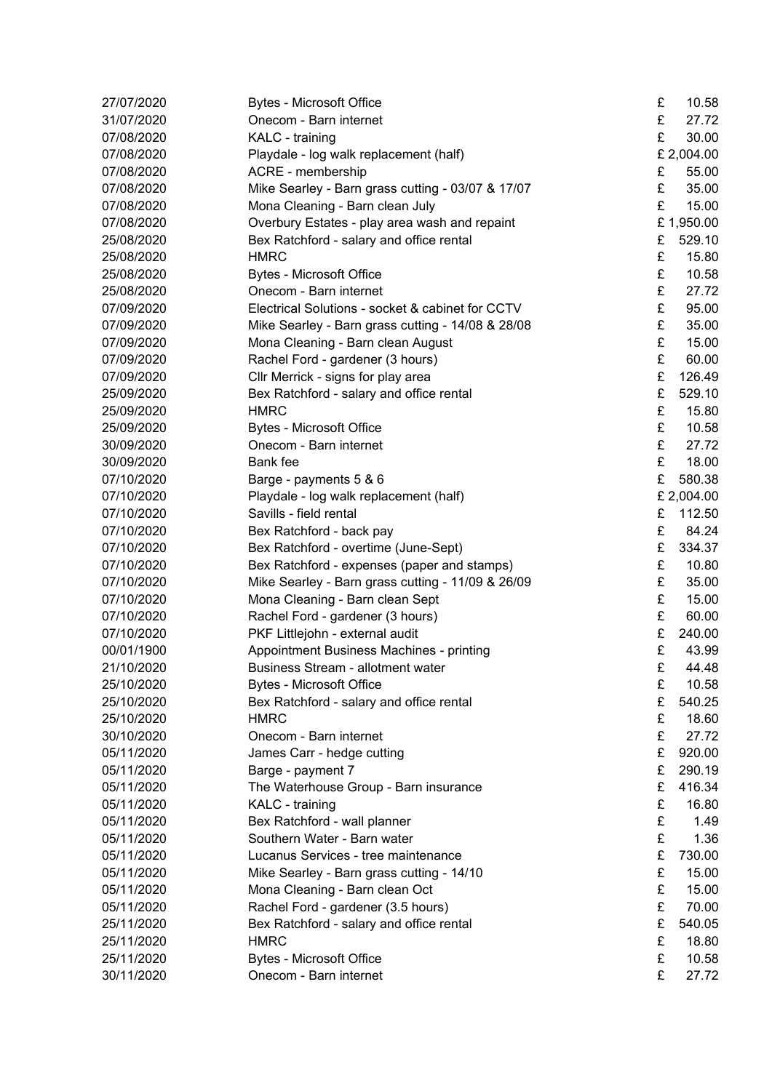| 27/07/2020 | <b>Bytes - Microsoft Office</b>                   | £ | 10.58      |
|------------|---------------------------------------------------|---|------------|
| 31/07/2020 | Onecom - Barn internet                            | £ | 27.72      |
| 07/08/2020 | KALC - training                                   | £ | 30.00      |
| 07/08/2020 | Playdale - log walk replacement (half)            |   | £ 2,004.00 |
| 07/08/2020 | ACRE - membership                                 | £ | 55.00      |
| 07/08/2020 | Mike Searley - Barn grass cutting - 03/07 & 17/07 | £ | 35.00      |
| 07/08/2020 | Mona Cleaning - Barn clean July                   | £ | 15.00      |
| 07/08/2020 | Overbury Estates - play area wash and repaint     |   | £1,950.00  |
| 25/08/2020 | Bex Ratchford - salary and office rental          | £ | 529.10     |
| 25/08/2020 | <b>HMRC</b>                                       | £ | 15.80      |
| 25/08/2020 | <b>Bytes - Microsoft Office</b>                   | £ | 10.58      |
| 25/08/2020 | Onecom - Barn internet                            | £ | 27.72      |
| 07/09/2020 | Electrical Solutions - socket & cabinet for CCTV  | £ | 95.00      |
| 07/09/2020 | Mike Searley - Barn grass cutting - 14/08 & 28/08 | £ | 35.00      |
| 07/09/2020 | Mona Cleaning - Barn clean August                 | £ | 15.00      |
| 07/09/2020 | Rachel Ford - gardener (3 hours)                  | £ | 60.00      |
| 07/09/2020 | Cllr Merrick - signs for play area                | £ | 126.49     |
| 25/09/2020 | Bex Ratchford - salary and office rental          | £ | 529.10     |
| 25/09/2020 | <b>HMRC</b>                                       | £ | 15.80      |
| 25/09/2020 | <b>Bytes - Microsoft Office</b>                   | £ | 10.58      |
| 30/09/2020 | Onecom - Barn internet                            | £ | 27.72      |
| 30/09/2020 | <b>Bank</b> fee                                   | £ | 18.00      |
| 07/10/2020 | Barge - payments 5 & 6                            | £ | 580.38     |
| 07/10/2020 | Playdale - log walk replacement (half)            |   | £ 2,004.00 |
| 07/10/2020 | Savills - field rental                            | £ | 112.50     |
| 07/10/2020 | Bex Ratchford - back pay                          | £ | 84.24      |
| 07/10/2020 | Bex Ratchford - overtime (June-Sept)              | £ | 334.37     |
| 07/10/2020 | Bex Ratchford - expenses (paper and stamps)       | £ | 10.80      |
| 07/10/2020 | Mike Searley - Barn grass cutting - 11/09 & 26/09 | £ | 35.00      |
| 07/10/2020 | Mona Cleaning - Barn clean Sept                   | £ | 15.00      |
| 07/10/2020 | Rachel Ford - gardener (3 hours)                  | £ | 60.00      |
| 07/10/2020 | PKF Littlejohn - external audit                   | £ | 240.00     |
| 00/01/1900 | Appointment Business Machines - printing          | £ | 43.99      |
| 21/10/2020 | <b>Business Stream - allotment water</b>          | £ | 44.48      |
| 25/10/2020 | <b>Bytes - Microsoft Office</b>                   | £ | 10.58      |
| 25/10/2020 | Bex Ratchford - salary and office rental          | £ | 540.25     |
| 25/10/2020 | <b>HMRC</b>                                       | £ | 18.60      |
| 30/10/2020 | Onecom - Barn internet                            | £ | 27.72      |
| 05/11/2020 | James Carr - hedge cutting                        | £ | 920.00     |
| 05/11/2020 | Barge - payment 7                                 | £ | 290.19     |
| 05/11/2020 | The Waterhouse Group - Barn insurance             | £ | 416.34     |
| 05/11/2020 | KALC - training                                   | £ | 16.80      |
| 05/11/2020 | Bex Ratchford - wall planner                      | £ | 1.49       |
| 05/11/2020 | Southern Water - Barn water                       | £ | 1.36       |
| 05/11/2020 | Lucanus Services - tree maintenance               | £ | 730.00     |
| 05/11/2020 | Mike Searley - Barn grass cutting - 14/10         | £ | 15.00      |
| 05/11/2020 | Mona Cleaning - Barn clean Oct                    | £ | 15.00      |
| 05/11/2020 | Rachel Ford - gardener (3.5 hours)                | £ | 70.00      |
| 25/11/2020 | Bex Ratchford - salary and office rental          | £ | 540.05     |
| 25/11/2020 | <b>HMRC</b>                                       | £ | 18.80      |
| 25/11/2020 | <b>Bytes - Microsoft Office</b>                   | £ | 10.58      |
| 30/11/2020 | Onecom - Barn internet                            | £ | 27.72      |